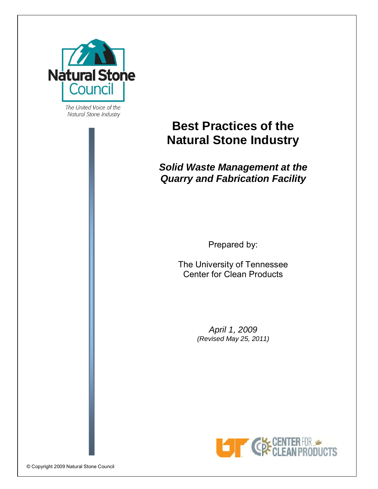

The United Voice of the Natural Stone Industry

# **Best Practices of the Natural Stone Industry**

# *Solid Waste Management at the Quarry and Fabrication Facility*

Prepared by:

The University of Tennessee Center for Clean Products

> *April 1, 2009 (Revised May 25, 2011)*

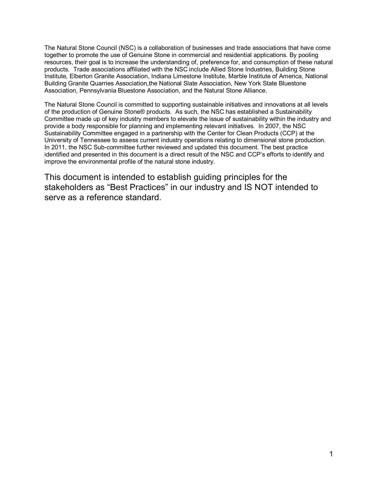The Natural Stone Council (NSC) is a collaboration of businesses and trade associations that have come together to promote the use of Genuine Stone in commercial and residential applications. By pooling resources, their goal is to increase the understanding of, preference for, and consumption of these natural products. Trade associations affiliated with the NSC include Allied Stone Industries, Building Stone Institute, Elberton Granite Association, Indiana Limestone Institute, Marble Institute of America, National Building Granite Quarries Association,the National Slate Association, New York State Bluestone Association, Pennsylvania Bluestone Association, and the Natural Stone Alliance.

The Natural Stone Council is committed to supporting sustainable initiatives and innovations at all levels of the production of Genuine Stone® products. As such, the NSC has established a Sustainability Committee made up of key industry members to elevate the issue of sustainability within the industry and provide a body responsible for planning and implementing relevant initiatives. In 2007, the NSC Sustainability Committee engaged in a partnership with the Center for Clean Products (CCP) at the University of Tennessee to assess current industry operations relating to dimensional stone production. In 2011, the NSC Sub-committee further reviewed and updated this document. The best practice identified and presented in this document is a direct result of the NSC and CCP's efforts to identify and improve the environmental profile of the natural stone industry.

This document is intended to establish guiding principles for the stakeholders as "Best Practices" in our industry and IS NOT intended to serve as a reference standard.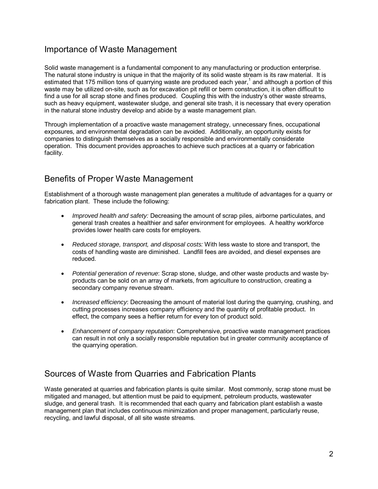# Importance of Waste Management

Solid waste management is a fundamental component to any manufacturing or production enterprise. The natural stone industry is unique in that the majority of its solid waste stream is its raw material. It is estimated that 175 million tons of quarrying waste are produced each year,<sup>1</sup> and although a portion of this waste may be utilized on-site, such as for excavation pit refill or berm construction, it is often difficult to find a use for all scrap stone and fines produced. Coupling this with the industry's other waste streams, such as heavy equipment, wastewater sludge, and general site trash, it is necessary that every operation in the natural stone industry develop and abide by a waste management plan.

Through implementation of a proactive waste management strategy, unnecessary fines, occupational exposures, and environmental degradation can be avoided. Additionally, an opportunity exists for companies to distinguish themselves as a socially responsible and environmentally considerate operation. This document provides approaches to achieve such practices at a quarry or fabrication facility.

# Benefits of Proper Waste Management

Establishment of a thorough waste management plan generates a multitude of advantages for a quarry or fabrication plant. These include the following:

- *Improved health and safety:* Decreasing the amount of scrap piles, airborne particulates, and general trash creates a healthier and safer environment for employees. A healthy workforce provides lower health care costs for employers.
- *Reduced storage, transport, and disposal costs:* With less waste to store and transport, the costs of handling waste are diminished. Landfill fees are avoided, and diesel expenses are reduced.
- *Potential generation of revenue*: Scrap stone, sludge, and other waste products and waste byproducts can be sold on an array of markets, from agriculture to construction, creating a secondary company revenue stream.
- *Increased efficiency*: Decreasing the amount of material lost during the quarrying, crushing, and cutting processes increases company efficiency and the quantity of profitable product. In effect, the company sees a heftier return for every ton of product sold.
- *Enhancement of company reputation*: Comprehensive, proactive waste management practices can result in not only a socially responsible reputation but in greater community acceptance of the quarrying operation.

# Sources of Waste from Quarries and Fabrication Plants

Waste generated at quarries and fabrication plants is quite similar. Most commonly, scrap stone must be mitigated and managed, but attention must be paid to equipment, petroleum products, wastewater sludge, and general trash. It is recommended that each quarry and fabrication plant establish a waste management plan that includes continuous minimization and proper management, particularly reuse, recycling, and lawful disposal, of all site waste streams.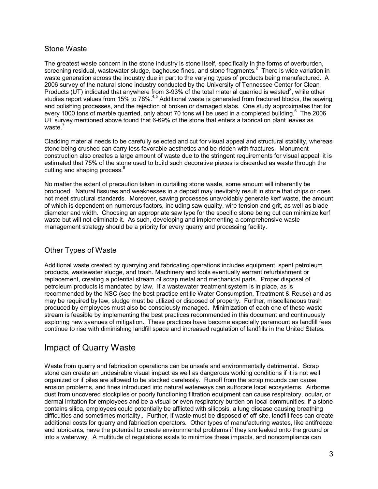### Stone Waste

The greatest waste concern in the stone industry is stone itself, specifically in the forms of overburden, screening residual, wastewater sludge, baghouse fines, and stone fragments.<sup>2</sup> There is wide variation in waste generation across the industry due in part to the varying types of products being manufactured. A 2006 survey of the natural stone industry conducted by the University of Tennessee Center for Clean Products (UT) indicated that anywhere from 3-93% of the total material quarried is wasted<sup>3</sup>, while other studies report values from 15% to 78%.<sup>4,5</sup> Additional waste is generated from fractured blocks, the sawing and polishing processes, and the rejection of broken or damaged slabs. One study approximates that for every 1000 tons of marble quarried, only about 70 tons will be used in a completed building.<sup>6</sup> The 2006 UT survey mentioned above found that 6-69% of the stone that enters a fabrication plant leaves as waste.<sup>7</sup>

Cladding material needs to be carefully selected and cut for visual appeal and structural stability, whereas stone being crushed can carry less favorable aesthetics and be ridden with fractures. Monument construction also creates a large amount of waste due to the stringent requirements for visual appeal; it is estimated that 75% of the stone used to build such decorative pieces is discarded as waste through the cutting and shaping process.<sup>8</sup>

No matter the extent of precaution taken in curtailing stone waste, some amount will inherently be produced. Natural fissures and weaknesses in a deposit may inevitably result in stone that chips or does not meet structural standards. Moreover, sawing processes unavoidably generate kerf waste, the amount of which is dependent on numerous factors, including saw quality, wire tension and grit, as well as blade diameter and width. Choosing an appropriate saw type for the specific stone being cut can minimize kerf waste but will not eliminate it. As such, developing and implementing a comprehensive waste management strategy should be a priority for every quarry and processing facility.

### Other Types of Waste

Additional waste created by quarrying and fabricating operations includes equipment, spent petroleum products, wastewater sludge, and trash. Machinery and tools eventually warrant refurbishment or replacement, creating a potential stream of scrap metal and mechanical parts. Proper disposal of petroleum products is mandated by law. If a wastewater treatment system is in place, as is recommended by the NSC (see the best practice entitle Water Consumption, Treatment & Reuse) and as may be required by law, sludge must be utilized or disposed of properly. Further, miscellaneous trash produced by employees must also be consciously managed. Minimization of each one of these waste stream is feasible by implementing the best practices recommended in this document and continuously exploring new avenues of mitigation. These practices have become especially paramount as landfill fees continue to rise with diminishing landfill space and increased regulation of landfills in the United States.

# Impact of Quarry Waste

Waste from quarry and fabrication operations can be unsafe and environmentally detrimental. Scrap stone can create an undesirable visual impact as well as dangerous working conditions if it is not well organized or if piles are allowed to be stacked carelessly. Runoff from the scrap mounds can cause erosion problems, and fines introduced into natural waterways can suffocate local ecosystems. Airborne dust from uncovered stockpiles or poorly functioning filtration equipment can cause respiratory, ocular, or dermal irritation for employees and be a visual or even respiratory burden on local communities. If a stone contains silica, employees could potentially be afflicted with silicosis, a lung disease causing breathing difficulties and sometimes mortality.. Further, if waste must be disposed of off-site, landfill fees can create additional costs for quarry and fabrication operators. Other types of manufacturing wastes, like antifreeze and lubricants, have the potential to create environmental problems if they are leaked onto the ground or into a waterway. A multitude of regulations exists to minimize these impacts, and noncompliance can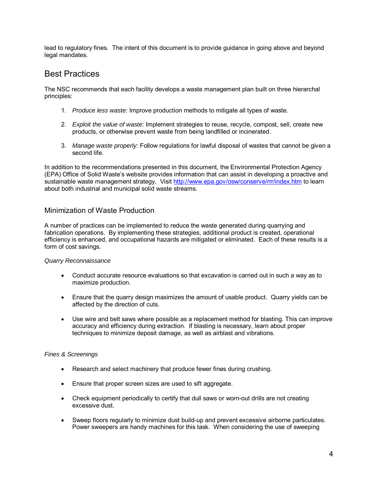lead to regulatory fines. The intent of this document is to provide guidance in going above and beyond legal mandates.

### Best Practices

The NSC recommends that each facility develops a waste management plan built on three hierarchal principles:

- 1. *Produce less waste:* Improve production methods to mitigate all types of waste.
- 2. *Exploit the value of waste:* Implement strategies to reuse, recycle, compost, sell, create new products, or otherwise prevent waste from being landfilled or incinerated.
- 3. *Manage waste properly:* Follow regulations for lawful disposal of wastes that cannot be given a second life.

In addition to the recommendations presented in this document, the Environmental Protection Agency (EPA) Office of Solid Waste's website provides information that can assist in developing a proactive and sustainable waste management strategy. Visit http://www.epa.gov/osw/conserve/rrr/index.htm to learn about both industrial and municipal solid waste streams.

### Minimization of Waste Production

A number of practices can be implemented to reduce the waste generated during quarrying and fabrication operations. By implementing these strategies, additional product is created, operational efficiency is enhanced, and occupational hazards are mitigated or eliminated. Each of these results is a form of cost savings.

#### *Quarry Reconnaissance*

- Conduct accurate resource evaluations so that excavation is carried out in such a way as to maximize production.
- Ensure that the quarry design maximizes the amount of usable product. Quarry yields can be affected by the direction of cuts.
- Use wire and belt saws where possible as a replacement method for blasting. This can improve accuracy and efficiency during extraction. If blasting is necessary, learn about proper techniques to minimize deposit damage, as well as airblast and vibrations.

#### *Fines & Screenings*

- Research and select machinery that produce fewer fines during crushing.
- Ensure that proper screen sizes are used to sift aggregate.
- Check equipment periodically to certify that dull saws or worn-out drills are not creating excessive dust.
- Sweep floors regularly to minimize dust build-up and prevent excessive airborne particulates. Power sweepers are handy machines for this task. When considering the use of sweeping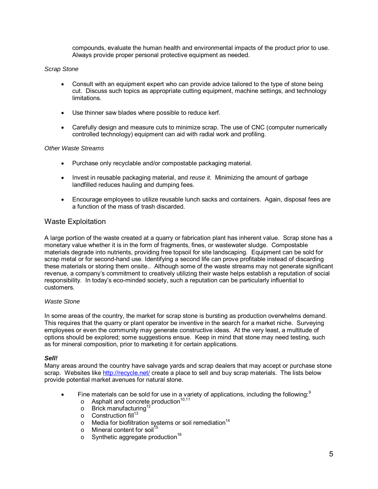compounds, evaluate the human health and environmental impacts of the product prior to use. Always provide proper personal protective equipment as needed.

#### *Scrap Stone*

- Consult with an equipment expert who can provide advice tailored to the type of stone being cut. Discuss such topics as appropriate cutting equipment, machine settings, and technology limitations.
- Use thinner saw blades where possible to reduce kerf.
- Carefully design and measure cuts to minimize scrap. The use of CNC (computer numerically controlled technology) equipment can aid with radial work and profiling.

#### *Other Waste Streams*

- Purchase only recyclable and/or compostable packaging material.
- Invest in reusable packaging material, and *reuse it*. Minimizing the amount of garbage landfilled reduces hauling and dumping fees.
- Encourage employees to utilize reusable lunch sacks and containers. Again, disposal fees are a function of the mass of trash discarded.

### Waste Exploitation

A large portion of the waste created at a quarry or fabrication plant has inherent value. Scrap stone has a monetary value whether it is in the form of fragments, fines, or wastewater sludge. Compostable materials degrade into nutrients, providing free topsoil for site landscaping. Equipment can be sold for scrap metal or for second-hand use. Identifying a second life can prove profitable instead of discarding these materials or storing them onsite.. Although some of the waste streams may not generate significant revenue, a company's commitment to creatively utilizing their waste helps establish a reputation of social responsibility. In today's eco-minded society, such a reputation can be particularly influential to customers.

#### *Waste Stone*

In some areas of the country, the market for scrap stone is bursting as production overwhelms demand. This requires that the quarry or plant operator be inventive in the search for a market niche. Surveying employees or even the community may generate constructive ideas. At the very least, a multitude of options should be explored; some suggestions ensue. Keep in mind that stone may need testing, such as for mineral composition, prior to marketing it for certain applications.

#### *Sell!*

Many areas around the country have salvage yards and scrap dealers that may accept or purchase stone scrap. Websites like http://recycle.net/ create a place to sell and buy scrap materials. The lists below provide potential market avenues for natural stone.

- Fine materials can be sold for use in a variety of applications, including the following:
	- $\circ$  Asphalt and concrete production<sup>10,11</sup>
	- $\circ$  Brick manufacturing<sup>1</sup>
	- $\circ$  Construction fill<sup>13</sup>
	- $\circ$  Media for biofiltration systems or soil remediation<sup>14</sup>
	- $\circ$  Mineral content for soil
	- $\circ$  Synthetic aggregate production<sup>16</sup>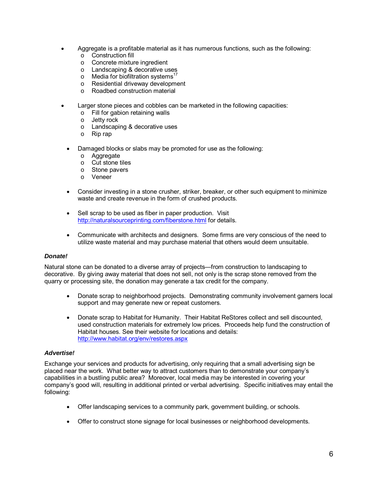- Aggregate is a profitable material as it has numerous functions, such as the following:
	- o Construction fill
	- o Concrete mixture ingredient
	- o Landscaping & decorative uses
	- $\circ$  Media for biofiltration systems<sup>17</sup>
	- o Residential driveway development
	- o Roadbed construction material
- Larger stone pieces and cobbles can be marketed in the following capacities:
	- o Fill for gabion retaining walls
	- o Jetty rock
	- o Landscaping & decorative uses
	- o Rip rap
	- Damaged blocks or slabs may be promoted for use as the following:
		- o Aggregate
		- o Cut stone tiles
		- o Stone pavers
		- o Veneer
	- Consider investing in a stone crusher, striker, breaker, or other such equipment to minimize waste and create revenue in the form of crushed products.
	- Sell scrap to be used as fiber in paper production. Visit http://naturalsourceprinting.com/fiberstone.html for details.
	- Communicate with architects and designers. Some firms are very conscious of the need to utilize waste material and may purchase material that others would deem unsuitable.

#### *Donate!*

Natural stone can be donated to a diverse array of projects—from construction to landscaping to decorative. By giving away material that does not sell, not only is the scrap stone removed from the quarry or processing site, the donation may generate a tax credit for the company.

- Donate scrap to neighborhood projects. Demonstrating community involvement garners local support and may generate new or repeat customers.
- Donate scrap to Habitat for Humanity. Their Habitat ReStores collect and sell discounted, used construction materials for extremely low prices. Proceeds help fund the construction of Habitat houses. See their website for locations and details: http://www.habitat.org/env/restores.aspx

#### *Advertise!*

Exchange your services and products for advertising, only requiring that a small advertising sign be placed near the work. What better way to attract customers than to demonstrate your company's capabilities in a bustling public area? Moreover, local media may be interested in covering your company's good will, resulting in additional printed or verbal advertising. Specific initiatives may entail the following:

- Offer landscaping services to a community park, government building, or schools.
- Offer to construct stone signage for local businesses or neighborhood developments.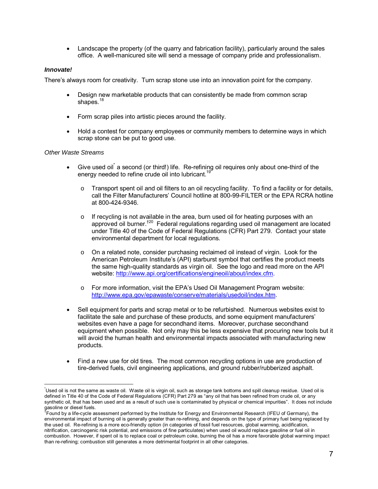• Landscape the property (of the quarry and fabrication facility), particularly around the sales office. A well-manicured site will send a message of company pride and professionalism.

### *Innovate!*

There's always room for creativity. Turn scrap stone use into an innovation point for the company.

- Design new marketable products that can consistently be made from common scrap shapes. $18$
- Form scrap piles into artistic pieces around the facility.
- Hold a contest for company employees or community members to determine ways in which scrap stone can be put to good use.

#### *Other Waste Streams*

 $\overline{a}$ 

- Give used oil a second (or third!) life. Re-refining oil requires only about one-third of the energy needed to refine crude oil into lubricant.<sup>1</sup>
	- $\circ$  Transport spent oil and oil filters to an oil recycling facility. To find a facility or for details, call the Filter Manufacturers' Council hotline at 800-99-FILTER or the EPA RCRA hotline at 800-424-9346.
	- $\circ$  If recycling is not available in the area, burn used oil for heating purposes with an approved oil burner.†20 Federal regulations regarding used oil management are located under Title 40 of the Code of Federal Regulations (CFR) Part 279. Contact your state environmental department for local regulations.
	- $\circ$  On a related note, consider purchasing reclaimed oil instead of virgin. Look for the American Petroleum Institute's (API) starburst symbol that certifies the product meets the same high-quality standards as virgin oil. See the logo and read more on the API website: http://www.api.org/certifications/engineoil/about/index.cfm.
	- o For more information, visit the EPA's Used Oil Management Program website: http://www.epa.gov/epawaste/conserve/materials/usedoil/index.htm.
- Sell equipment for parts and scrap metal or to be refurbished. Numerous websites exist to facilitate the sale and purchase of these products, and some equipment manufacturers' websites even have a page for secondhand items. Moreover, purchase secondhand equipment when possible. Not only may this be less expensive that procuring new tools but it will avoid the human health and environmental impacts associated with manufacturing new products.
- Find a new use for old tires. The most common recycling options in use are production of tire-derived fuels, civil engineering applications, and ground rubber/rubberized asphalt.

<sup>\*</sup> Used oil is not the same as waste oil. Waste oil is virgin oil, such as storage tank bottoms and spill cleanup residue. Used oil is defined in Title 40 of the Code of Federal Regulations (CFR) Part 279 as "any oil that has been refined from crude oil, or any synthetic oil, that has been used and as a result of such use is contaminated by physical or chemical impurities". It does not include gasoline or diesel fuels.<br><sup>†</sup>Found by a life-cycle assessment performed by the Institute for Energy and Environmental Research (IFEU of Germany), the

environmental impact of burning oil is generally greater than re-refining, and depends on the type of primary fuel being replaced by the used oil. Re-refining is a more eco-friendly option (in categories of fossil fuel resources, global warming, acidification, nitrification, carcinogenic risk potential, and emissions of fine particulates) when used oil would replace gasoline or fuel oil in combustion. However, if spent oil is to replace coal or petroleum coke, burning the oil has a more favorable global warming impact than re-refining; combustion still generates a more detrimental footprint in all other categories.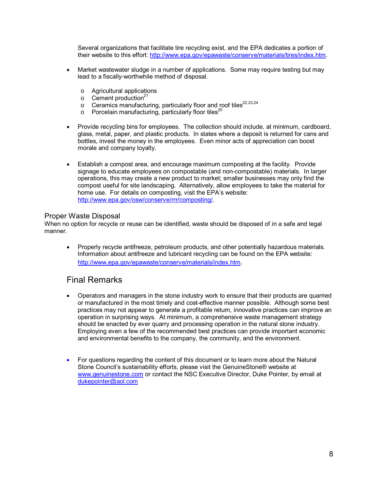Several organizations that facilitate tire recycling exist, and the EPA dedicates a portion of their website to this effort: http://www.epa.gov/epawaste/conserve/materials/tires/index.htm.

- Market wastewater sludge in a number of applications. Some may require testing but may lead to a fiscally-worthwhile method of disposal.
	- o Agricultural applications
	- $\circ$  Cement production<sup>21</sup>
	- $\circ$  Ceramics manufacturing, particularly floor and roof tiles<sup>22,23,24</sup>
	- $\circ$  Porcelain manufacturing, particularly floor tiles<sup>25</sup>
- Provide recycling bins for employees. The collection should include, at minimum, cardboard, glass, metal, paper, and plastic products. In states where a deposit is returned for cans and bottles, invest the money in the employees. Even minor acts of appreciation can boost morale and company loyalty.
- Establish a compost area, and encourage maximum composting at the facility. Provide signage to educate employees on compostable (and non-compostable) materials. In larger operations, this may create a new product to market; smaller businesses may only find the compost useful for site landscaping. Alternatively, allow employees to take the material for home use. For details on composting, visit the EPA's website: http://www.epa.gov/osw/conserve/rrr/composting/.

### Proper Waste Disposal

When no option for recycle or reuse can be identified, waste should be disposed of in a safe and legal manner.

• Properly recycle antifreeze, petroleum products, and other potentially hazardous materials. Information about antifreeze and lubricant recycling can be found on the EPA website: http://www.epa.gov/epawaste/conserve/materials/index.htm.

### Final Remarks

- Operators and managers in the stone industry work to ensure that their products are quarried or manufactured in the most timely and cost-effective manner possible. Although some best practices may not appear to generate a profitable return, innovative practices can improve an operation in surprising ways. At minimum, a comprehensive waste management strategy should be enacted by ever quarry and processing operation in the natural stone industry. Employing even a few of the recommended best practices can provide important economic and environmental benefits to the company, the community, and the environment.
- For questions regarding the content of this document or to learn more about the Natural Stone Council's sustainability efforts, please visit the GenuineStone® website at www.genuinestone.com or contact the NSC Executive Director, Duke Pointer, by email at dukepointer@aol.com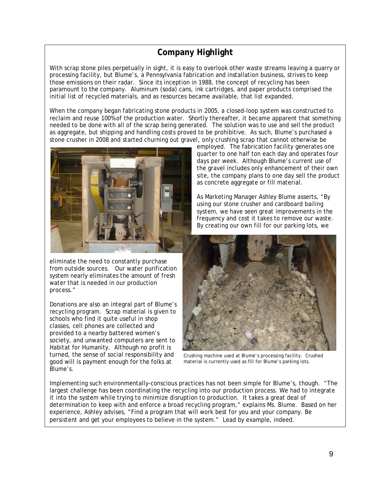# **Company Highlight**

With scrap stone piles perpetually in sight, it is easy to overlook other waste streams leaving a quarry or processing facility, but Blume's, a Pennsylvania fabrication and installation business, strives to keep those emissions on their radar. Since its inception in 1988, the concept of recycling has been paramount to the company. Aluminum (soda) cans, ink cartridges, and paper products comprised the initial list of recycled materials, and as resources became available, that list expanded.

When the company began fabricating stone products in 2005, a closed-loop system was constructed to reclaim and reuse 100% of the production water. Shortly thereafter, it became apparent that something needed to be done with all of the scrap being generated. The solution was to use and sell the product as aggregate, but shipping and handling costs proved to be prohibitive. As such, Blume's purchased a stone crusher in 2008 and started churning out gravel, only crushing scrap that cannot otherwise be



eliminate the need to constantly purchase from outside sources. Our water purification system nearly eliminates the amount of fresh water that is needed in our production process."

Donations are also an integral part of Blume's recycling program. Scrap material is given to schools who find it quite useful in shop classes, cell phones are collected and provided to a nearby battered women's society, and unwanted computers are sent to Habitat for Humanity. Although no profit is turned, the sense of social responsibility and good will is payment enough for the folks at Blume's.

employed. The fabrication facility generates one quarter to one half ton each day and operates four days per week. Although Blume's current use of the gravel includes only enhancement of their own site, the company plans to one day sell the product as concrete aggregate or fill material.

As Marketing Manager Ashley Blume asserts, "By using our stone crusher and cardboard bailing system, we have seen great improvements in the frequency and cost it takes to remove our waste. By creating our own fill for our parking lots, we



Crushing machine used at Blume's processing facility. Crushed material is currently used as fill for Blume's parking lots.

Implementing such environmentally-conscious practices has not been simple for Blume's, though. "The largest challenge has been coordinating the recycling into our production process. We had to integrate it into the system while trying to minimize disruption to production. It takes a great deal of determination to keep with and enforce a broad recycling program," explains Ms. Blume. Based on her experience, Ashley advises, "Find a program that will work best for you and your company. Be persistent and get your employees to believe in the system." Lead by example, indeed.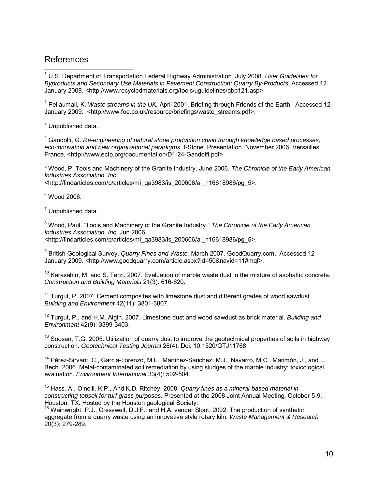### **References**

 $\overline{a}$ 1 U.S. Department of Transportation Federal Highway Administration. July 2008. *User Guidelines for Byproducts and Secondary Use Materials in Pavement Construction: Quarry By-Products*. Accessed 12 January 2009. <http://www.recycledmaterials.org/tools/uguidelines/qbp121.asp>.

2 Pellaumail, K. *Waste streams in the UK.* April 2001. Briefing through Friends of the Earth. Accessed 12 January 2009. <http://www.foe.co.uk/resource/briefings/waste\_streams.pdf>.

 $3$  Unpublished data.

4 Gandolfi, G. *Re-engineering of natural stone production chain through knowledge based processes, eco-innovation and new organizational paradigms.* I-Stone. Presentation. November 2006. Versailles, France. <http://www.ectp.org/documentation/D1-24-Gandolfi.pdf>.

5 Wood, P. Tools and Machinery of the Granite Industry. June 2006. *The Chronicle of the Early American Industries Association, Inc.*

<http://findarticles.com/p/articles/mi\_qa3983/is\_200606/ai\_n16618986/pg\_5>.

 $6$  Wood 2006.

 $<sup>7</sup>$  Unpublished data.</sup>

8 Wood, Paul. "Tools and Machinery of the Granite Industry." *The Chronicle of the Early American Industries Association, Inc.* Jun 2006. <http://findarticles.com/p/articles/mi\_qa3983/is\_200606/ai\_n16618986/pg\_5>.

9 British Geological Survey. *Quarry Fines and Waste.* March 2007. GoodQuarry.com. Accessed 12 January 2009. <http://www.goodquarry.com/article.aspx?id=50&navid=11#mqf>.

 $10$  Karasahin, M. and S. Terzi. 2007. Evaluation of marble waste dust in the mixture of asphaltic concrete. *Construction and Building Materials* 21(3): 616-620.

 $11$  Turgut, P. 2007. Cement composites with limestone dust and different grades of wood sawdust. *Building and Environment* 42(11): 3801-3807.

12 Turgut, P., and H.M. Algin. 2007. Limestone dust and wood sawdust as brick material. *Building and Environment* 42(9): 3399-3403.

<sup>13</sup> Soosan, T.G. 2005. Utilization of quarry dust to improve the geotechnical properties of soils in highway construction. *Geotechnical Testing Journal* 28(4). Doi: 10.1520/GTJ11768.

<sup>14</sup> Pérez-Sirvant, C., Garcia-Lorenzo, M.L., Martinez-Sánchez, M.J., Navarro, M.C., Marimón, J., and L. Bech. 2006. Metal-contaminated soil remediation by using sludges of the marble industry: toxicological evaluation. *Environment International* 33(4): 502-504.

15 Hass, A., O'neill, K.P., And K.D. Ritchey. 2008. *Quarry fines as a mineral-based material in constructing topsoil for turf grass purposes*. Presented at the 2008 Joint Annual Meeting. October 5-9, Houston, TX. Hosted by the Houston geological Society.

<sup>16</sup> Wainwright, P.J., Cresswell, D.J.F., and H.A. vander Sloot. 2002. The production of synthetic aggregate from a quarry waste using an innovative style rotary kiln. *Waste Management & Research*  20(3): 279-289.